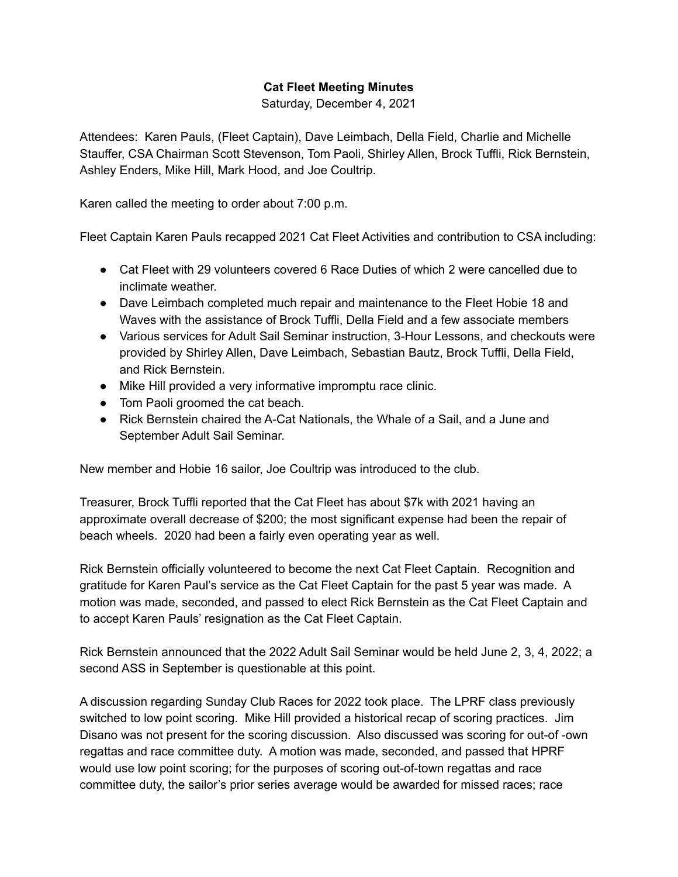## **Cat Fleet Meeting Minutes**

Saturday, December 4, 2021

Attendees: Karen Pauls, (Fleet Captain), Dave Leimbach, Della Field, Charlie and Michelle Stauffer, CSA Chairman Scott Stevenson, Tom Paoli, Shirley Allen, Brock Tuffli, Rick Bernstein, Ashley Enders, Mike Hill, Mark Hood, and Joe Coultrip.

Karen called the meeting to order about 7:00 p.m.

Fleet Captain Karen Pauls recapped 2021 Cat Fleet Activities and contribution to CSA including:

- Cat Fleet with 29 volunteers covered 6 Race Duties of which 2 were cancelled due to inclimate weather.
- Dave Leimbach completed much repair and maintenance to the Fleet Hobie 18 and Waves with the assistance of Brock Tuffli, Della Field and a few associate members
- Various services for Adult Sail Seminar instruction, 3-Hour Lessons, and checkouts were provided by Shirley Allen, Dave Leimbach, Sebastian Bautz, Brock Tuffli, Della Field, and Rick Bernstein.
- Mike Hill provided a very informative impromptu race clinic.
- Tom Paoli groomed the cat beach.
- Rick Bernstein chaired the A-Cat Nationals, the Whale of a Sail, and a June and September Adult Sail Seminar.

New member and Hobie 16 sailor, Joe Coultrip was introduced to the club.

Treasurer, Brock Tuffli reported that the Cat Fleet has about \$7k with 2021 having an approximate overall decrease of \$200; the most significant expense had been the repair of beach wheels. 2020 had been a fairly even operating year as well.

Rick Bernstein officially volunteered to become the next Cat Fleet Captain. Recognition and gratitude for Karen Paul's service as the Cat Fleet Captain for the past 5 year was made. A motion was made, seconded, and passed to elect Rick Bernstein as the Cat Fleet Captain and to accept Karen Pauls' resignation as the Cat Fleet Captain.

Rick Bernstein announced that the 2022 Adult Sail Seminar would be held June 2, 3, 4, 2022; a second ASS in September is questionable at this point.

A discussion regarding Sunday Club Races for 2022 took place. The LPRF class previously switched to low point scoring. Mike Hill provided a historical recap of scoring practices. Jim Disano was not present for the scoring discussion. Also discussed was scoring for out-of -own regattas and race committee duty. A motion was made, seconded, and passed that HPRF would use low point scoring; for the purposes of scoring out-of-town regattas and race committee duty, the sailor's prior series average would be awarded for missed races; race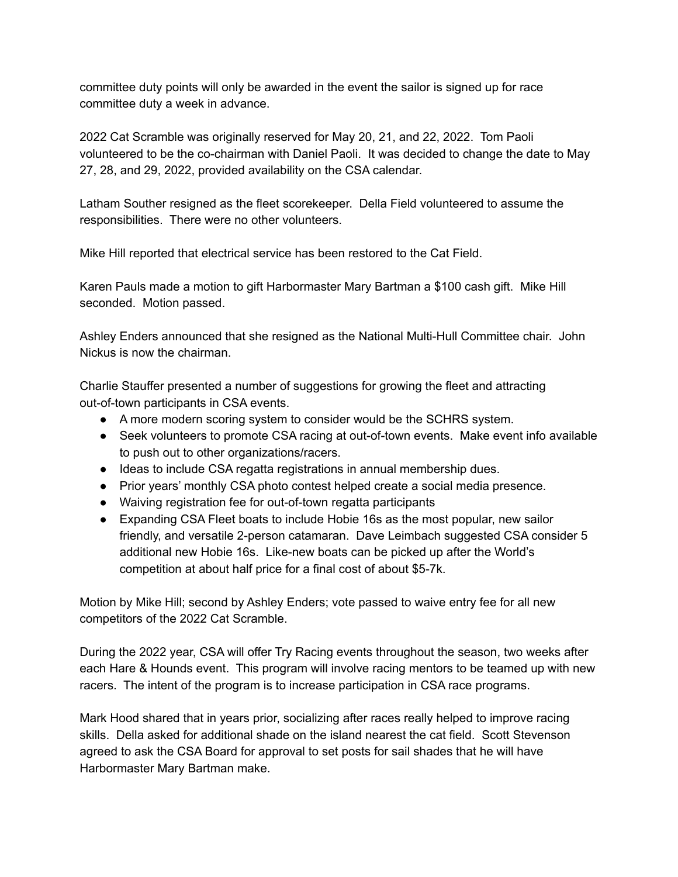committee duty points will only be awarded in the event the sailor is signed up for race committee duty a week in advance.

2022 Cat Scramble was originally reserved for May 20, 21, and 22, 2022. Tom Paoli volunteered to be the co-chairman with Daniel Paoli. It was decided to change the date to May 27, 28, and 29, 2022, provided availability on the CSA calendar.

Latham Souther resigned as the fleet scorekeeper. Della Field volunteered to assume the responsibilities. There were no other volunteers.

Mike Hill reported that electrical service has been restored to the Cat Field.

Karen Pauls made a motion to gift Harbormaster Mary Bartman a \$100 cash gift. Mike Hill seconded. Motion passed.

Ashley Enders announced that she resigned as the National Multi-Hull Committee chair. John Nickus is now the chairman.

Charlie Stauffer presented a number of suggestions for growing the fleet and attracting out-of-town participants in CSA events.

- A more modern scoring system to consider would be the SCHRS system.
- Seek volunteers to promote CSA racing at out-of-town events. Make event info available to push out to other organizations/racers.
- Ideas to include CSA regatta registrations in annual membership dues.
- Prior years' monthly CSA photo contest helped create a social media presence.
- Waiving registration fee for out-of-town regatta participants
- Expanding CSA Fleet boats to include Hobie 16s as the most popular, new sailor friendly, and versatile 2-person catamaran. Dave Leimbach suggested CSA consider 5 additional new Hobie 16s. Like-new boats can be picked up after the World's competition at about half price for a final cost of about \$5-7k.

Motion by Mike Hill; second by Ashley Enders; vote passed to waive entry fee for all new competitors of the 2022 Cat Scramble.

During the 2022 year, CSA will offer Try Racing events throughout the season, two weeks after each Hare & Hounds event. This program will involve racing mentors to be teamed up with new racers. The intent of the program is to increase participation in CSA race programs.

Mark Hood shared that in years prior, socializing after races really helped to improve racing skills. Della asked for additional shade on the island nearest the cat field. Scott Stevenson agreed to ask the CSA Board for approval to set posts for sail shades that he will have Harbormaster Mary Bartman make.